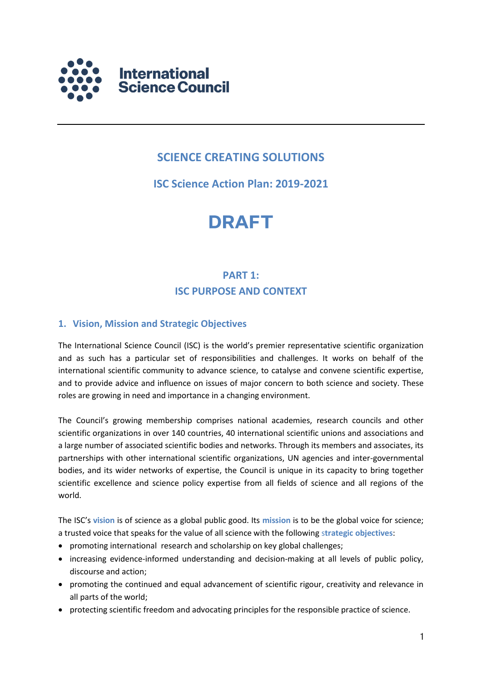

# **SCIENCE CREATING SOLUTIONS**

# **ISC Science Action Plan: 2019-2021**

# **DRAFT**

# **PART 1: ISC PURPOSE AND CONTEXT**

# **1. Vision, Mission and Strategic Objectives**

The International Science Council (ISC) is the world's premier representative scientific organization and as such has a particular set of responsibilities and challenges. It works on behalf of the international scientific community to advance science, to catalyse and convene scientific expertise, and to provide advice and influence on issues of major concern to both science and society. These roles are growing in need and importance in a changing environment.

The Council's growing membership comprises national academies, research councils and other scientific organizations in over 140 countries, 40 international scientific unions and associations and a large number of associated scientific bodies and networks. Through its members and associates, its partnerships with other international scientific organizations, UN agencies and inter-governmental bodies, and its wider networks of expertise, the Council is unique in its capacity to bring together scientific excellence and science policy expertise from all fields of science and all regions of the world.

The ISC's **vision** is of science as a global public good. Its **mission** is to be the global voice for science; a trusted voice that speaks for the value of all science with the following s**trategic objectives**:

- promoting international research and scholarship on key global challenges;
- increasing evidence-informed understanding and decision-making at all levels of public policy, discourse and action;
- promoting the continued and equal advancement of scientific rigour, creativity and relevance in all parts of the world;
- protecting scientific freedom and advocating principles for the responsible practice of science.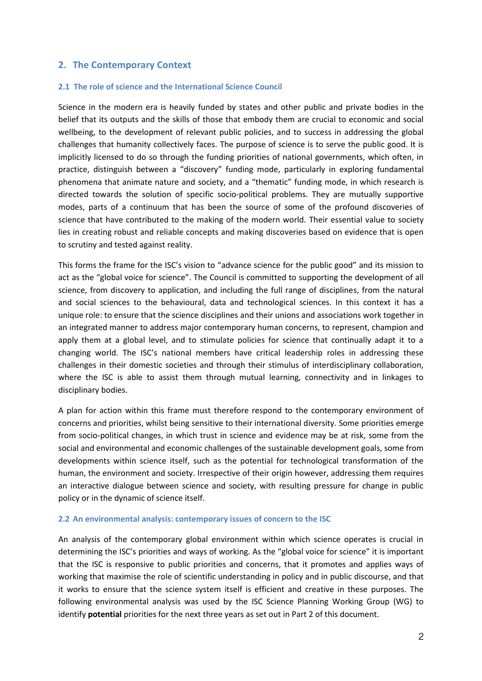# **2. The Contemporary Context**

#### **2.1 The role of science and the International Science Council**

Science in the modern era is heavily funded by states and other public and private bodies in the belief that its outputs and the skills of those that embody them are crucial to economic and social wellbeing, to the development of relevant public policies, and to success in addressing the global challenges that humanity collectively faces. The purpose of science is to serve the public good. It is implicitly licensed to do so through the funding priorities of national governments, which often, in practice, distinguish between a "discovery" funding mode, particularly in exploring fundamental phenomena that animate nature and society, and a "thematic" funding mode, in which research is directed towards the solution of specific socio-political problems. They are mutually supportive modes, parts of a continuum that has been the source of some of the profound discoveries of science that have contributed to the making of the modern world. Their essential value to society lies in creating robust and reliable concepts and making discoveries based on evidence that is open to scrutiny and tested against reality.

This forms the frame for the ISC's vision to "advance science for the public good" and its mission to act as the "global voice for science". The Council is committed to supporting the development of all science, from discovery to application, and including the full range of disciplines, from the natural and social sciences to the behavioural, data and technological sciences. In this context it has a unique role: to ensure that the science disciplines and their unions and associations work together in an integrated manner to address major contemporary human concerns, to represent, champion and apply them at a global level, and to stimulate policies for science that continually adapt it to a changing world. The ISC's national members have critical leadership roles in addressing these challenges in their domestic societies and through their stimulus of interdisciplinary collaboration, where the ISC is able to assist them through mutual learning, connectivity and in linkages to disciplinary bodies.

A plan for action within this frame must therefore respond to the contemporary environment of concerns and priorities, whilst being sensitive to their international diversity. Some priorities emerge from socio-political changes, in which trust in science and evidence may be at risk, some from the social and environmental and economic challenges of the sustainable development goals, some from developments within science itself, such as the potential for technological transformation of the human, the environment and society. Irrespective of their origin however, addressing them requires an interactive dialogue between science and society, with resulting pressure for change in public policy or in the dynamic of science itself.

#### **2.2 An environmental analysis: contemporary issues of concern to the ISC**

An analysis of the contemporary global environment within which science operates is crucial in determining the ISC's priorities and ways of working. As the "global voice for science" it is important that the ISC is responsive to public priorities and concerns, that it promotes and applies ways of working that maximise the role of scientific understanding in policy and in public discourse, and that it works to ensure that the science system itself is efficient and creative in these purposes. The following environmental analysis was used by the ISC Science Planning Working Group (WG) to identify **potential** priorities for the next three years as set out in Part 2 of this document.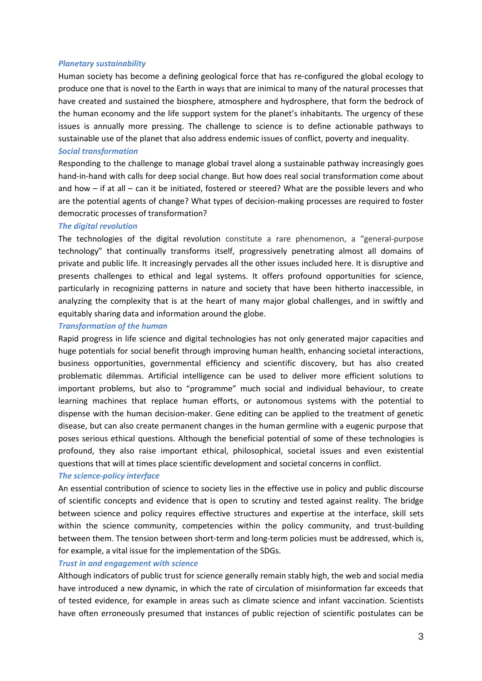#### *Planetary sustainability*

Human society has become a defining geological force that has re-configured the global ecology to produce one that is novel to the Earth in ways that are inimical to many of the natural processes that have created and sustained the biosphere, atmosphere and hydrosphere, that form the bedrock of the human economy and the life support system for the planet's inhabitants. The urgency of these issues is annually more pressing. The challenge to science is to define actionable pathways to sustainable use of the planet that also address endemic issues of conflict, poverty and inequality.

#### *Social transformation*

Responding to the challenge to manage global travel along a sustainable pathway increasingly goes hand-in-hand with calls for deep social change. But how does real social transformation come about and how – if at all – can it be initiated, fostered or steered? What are the possible levers and who are the potential agents of change? What types of decision-making processes are required to foster democratic processes of transformation?

#### *The digital revolution*

The technologies of the digital revolution constitute a rare phenomenon, a "general-purpose technology" that continually transforms itself, progressively penetrating almost all domains of private and public life. It increasingly pervades all the other issues included here. It is disruptive and presents challenges to ethical and legal systems. It offers profound opportunities for science, particularly in recognizing patterns in nature and society that have been hitherto inaccessible, in analyzing the complexity that is at the heart of many major global challenges, and in swiftly and equitably sharing data and information around the globe.

#### *Transformation of the human*

Rapid progress in life science and digital technologies has not only generated major capacities and huge potentials for social benefit through improving human health, enhancing societal interactions, business opportunities, governmental efficiency and scientific discovery, but has also created problematic dilemmas. Artificial intelligence can be used to deliver more efficient solutions to important problems, but also to "programme" much social and individual behaviour, to create learning machines that replace human efforts, or autonomous systems with the potential to dispense with the human decision-maker. Gene editing can be applied to the treatment of genetic disease, but can also create permanent changes in the human germline with a eugenic purpose that poses serious ethical questions. Although the beneficial potential of some of these technologies is profound, they also raise important ethical, philosophical, societal issues and even existential questions that will at times place scientific development and societal concerns in conflict.

#### *The science-policy interface*

An essential contribution of science to society lies in the effective use in policy and public discourse of scientific concepts and evidence that is open to scrutiny and tested against reality. The bridge between science and policy requires effective structures and expertise at the interface, skill sets within the science community, competencies within the policy community, and trust-building between them. The tension between short-term and long-term policies must be addressed, which is, for example, a vital issue for the implementation of the SDGs.

#### *Trust in and engagement with science*

Although indicators of public trust for science generally remain stably high, the web and social media have introduced a new dynamic, in which the rate of circulation of misinformation far exceeds that of tested evidence, for example in areas such as climate science and infant vaccination. Scientists have often erroneously presumed that instances of public rejection of scientific postulates can be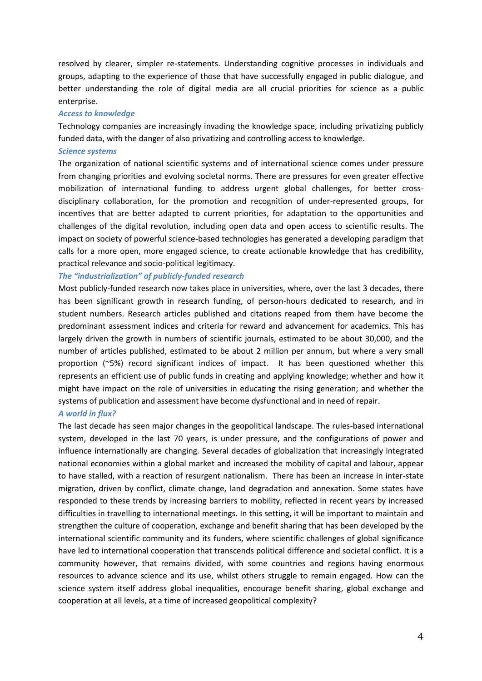resolved by clearer, simpler re-statements. Understanding cognitive processes in individuals and groups, adapting to the experience of those that have successfully engaged in public dialogue, and better understanding the role of digital media are all crucial priorities for science as a public enterprise.

#### *Access to knowledge*

Technology companies are increasingly invading the knowledge space, including privatizing publicly funded data, with the danger of also privatizing and controlling access to knowledge.

#### *Science systems*

The organization of national scientific systems and of international science comes under pressure from changing priorities and evolving societal norms. There are pressures for even greater effective mobilization of international funding to address urgent global challenges, for better crossdisciplinary collaboration, for the promotion and recognition of under-represented groups, for incentives that are better adapted to current priorities, for adaptation to the opportunities and challenges of the digital revolution, including open data and open access to scientific results. The impact on society of powerful science-based technologies has generated a developing paradigm that calls for a more open, more engaged science, to create actionable knowledge that has credibility, practical relevance and socio-political legitimacy.

#### *The "industrialization" of publicly-funded research*

Most publicly-funded research now takes place in universities, where, over the last 3 decades, there has been significant growth in research funding, of person-hours dedicated to research, and in student numbers. Research articles published and citations reaped from them have become the predominant assessment indices and criteria for reward and advancement for academics. This has largely driven the growth in numbers of scientific journals, estimated to be about 30,000, and the number of articles published, estimated to be about 2 million per annum, but where a very small proportion (~5%) record significant indices of impact. It has been questioned whether this represents an efficient use of public funds in creating and applying knowledge; whether and how it might have impact on the role of universities in educating the rising generation; and whether the systems of publication and assessment have become dysfunctional and in need of repair.

#### *A world in flux?*

The last decade has seen major changes in the geopolitical landscape. The rules-based international system, developed in the last 70 years, is under pressure, and the configurations of power and influence internationally are changing. Several decades of globalization that increasingly integrated national economies within a global market and increased the mobility of capital and labour, appear to have stalled, with a reaction of resurgent nationalism. There has been an increase in inter-state migration, driven by conflict, climate change, land degradation and annexation. Some states have responded to these trends by increasing barriers to mobility, reflected in recent years by increased difficulties in travelling to international meetings. In this setting, it will be important to maintain and strengthen the culture of cooperation, exchange and benefit sharing that has been developed by the international scientific community and its funders, where scientific challenges of global significance have led to international cooperation that transcends political difference and societal conflict. It is a community however, that remains divided, with some countries and regions having enormous resources to advance science and its use, whilst others struggle to remain engaged. How can the science system itself address global inequalities, encourage benefit sharing, global exchange and cooperation at all levels, at a time of increased geopolitical complexity?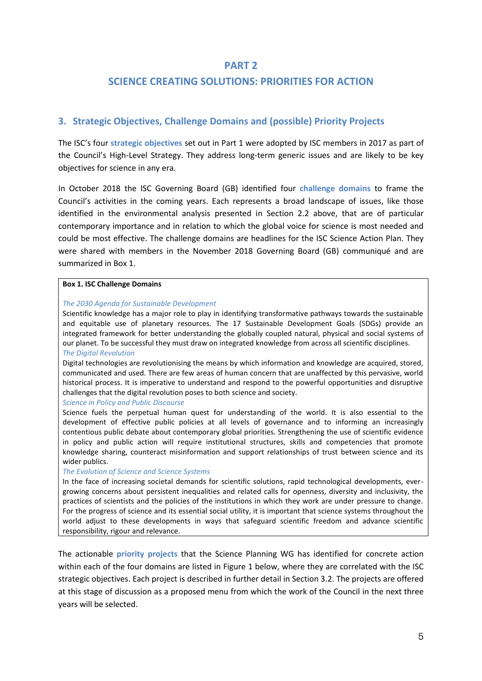### **PART 2**

# **SCIENCE CREATING SOLUTIONS: PRIORITIES FOR ACTION**

# **3. Strategic Objectives, Challenge Domains and (possible) Priority Projects**

The ISC's four **strategic objectives** set out in Part 1 were adopted by ISC members in 2017 as part of the Council's High-Level Strategy. They address long-term generic issues and are likely to be key objectives for science in any era.

In October 2018 the ISC Governing Board (GB) identified four **challenge domains** to frame the Council's activities in the coming years. Each represents a broad landscape of issues, like those identified in the environmental analysis presented in Section 2.2 above, that are of particular contemporary importance and in relation to which the global voice for science is most needed and could be most effective. The challenge domains are headlines for the ISC Science Action Plan. They were shared with members in the November 2018 Governing Board (GB) communiqué and are summarized in Box 1.

#### **Box 1. ISC Challenge Domains**

#### *The 2030 Agenda for Sustainable Development*

Scientific knowledge has a major role to play in identifying transformative pathways towards the sustainable and equitable use of planetary resources. The 17 Sustainable Development Goals (SDGs) provide an integrated framework for better understanding the globally coupled natural, physical and social systems of our planet. To be successful they must draw on integrated knowledge from across all scientific disciplines. *The Digital Revolution*

#### Digital technologies are revolutionising the means by which information and knowledge are acquired, stored, communicated and used. There are few areas of human concern that are unaffected by this pervasive, world historical process. It is imperative to understand and respond to the powerful opportunities and disruptive challenges that the digital revolution poses to both science and society.

#### *Science in Policy and Public Discourse*

Science fuels the perpetual human quest for understanding of the world. It is also essential to the development of effective public policies at all levels of governance and to informing an increasingly contentious public debate about contemporary global priorities. Strengthening the use of scientific evidence in policy and public action will require institutional structures, skills and competencies that promote knowledge sharing, counteract misinformation and support relationships of trust between science and its wider publics.

#### *The Evolution of Science and Science Systems*

In the face of increasing societal demands for scientific solutions, rapid technological developments, evergrowing concerns about persistent inequalities and related calls for openness, diversity and inclusivity, the practices of scientists and the policies of the institutions in which they work are under pressure to change. For the progress of science and its essential social utility, it is important that science systems throughout the world adjust to these developments in ways that safeguard scientific freedom and advance scientific responsibility, rigour and relevance.

The actionable **priority projects** that the Science Planning WG has identified for concrete action within each of the four domains are listed in Figure 1 below, where they are correlated with the ISC strategic objectives. Each project is described in further detail in Section 3.2. The projects are offered at this stage of discussion as a proposed menu from which the work of the Council in the next three years will be selected.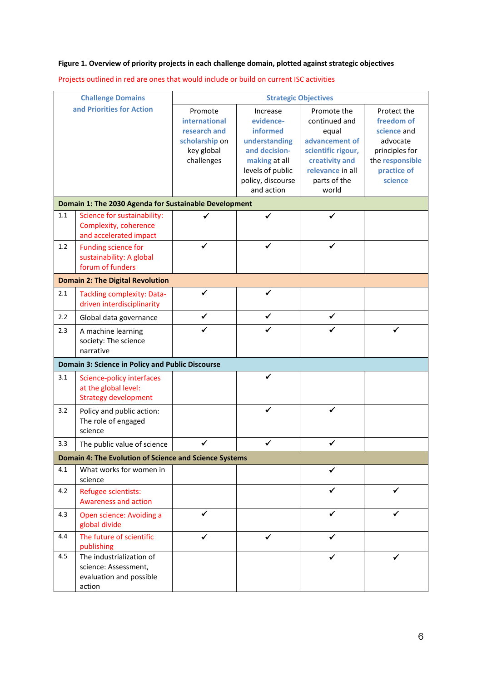# **Figure 1. Overview of priority projects in each challenge domain, plotted against strategic objectives**

Projects outlined in red are ones that would include or build on current ISC activities

| <b>Challenge Domains</b><br>and Priorities for Action  |                                                                                       | <b>Strategic Objectives</b>                                                            |                                                                                                                                             |                                                                                                                                              |                                                                                                                     |  |  |  |  |  |  |  |
|--------------------------------------------------------|---------------------------------------------------------------------------------------|----------------------------------------------------------------------------------------|---------------------------------------------------------------------------------------------------------------------------------------------|----------------------------------------------------------------------------------------------------------------------------------------------|---------------------------------------------------------------------------------------------------------------------|--|--|--|--|--|--|--|
|                                                        |                                                                                       | Promote<br>international<br>research and<br>scholarship on<br>key global<br>challenges | Increase<br>evidence-<br>informed<br>understanding<br>and decision-<br>making at all<br>levels of public<br>policy, discourse<br>and action | Promote the<br>continued and<br>equal<br>advancement of<br>scientific rigour,<br>creativity and<br>relevance in all<br>parts of the<br>world | Protect the<br>freedom of<br>science and<br>advocate<br>principles for<br>the responsible<br>practice of<br>science |  |  |  |  |  |  |  |
| Domain 1: The 2030 Agenda for Sustainable Development  |                                                                                       |                                                                                        |                                                                                                                                             |                                                                                                                                              |                                                                                                                     |  |  |  |  |  |  |  |
| 1.1                                                    | Science for sustainability:<br>Complexity, coherence<br>and accelerated impact        | ✔                                                                                      | ✓                                                                                                                                           | ✓                                                                                                                                            |                                                                                                                     |  |  |  |  |  |  |  |
| 1.2                                                    | Funding science for<br>sustainability: A global<br>forum of funders                   | ✓                                                                                      | ✓                                                                                                                                           | ✓                                                                                                                                            |                                                                                                                     |  |  |  |  |  |  |  |
| <b>Domain 2: The Digital Revolution</b>                |                                                                                       |                                                                                        |                                                                                                                                             |                                                                                                                                              |                                                                                                                     |  |  |  |  |  |  |  |
| 2.1                                                    | <b>Tackling complexity: Data-</b><br>driven interdisciplinarity                       |                                                                                        |                                                                                                                                             |                                                                                                                                              |                                                                                                                     |  |  |  |  |  |  |  |
| 2.2                                                    | Global data governance                                                                | ✔                                                                                      | ✓                                                                                                                                           | ✓                                                                                                                                            |                                                                                                                     |  |  |  |  |  |  |  |
| 2.3                                                    | A machine learning<br>society: The science<br>narrative                               |                                                                                        |                                                                                                                                             |                                                                                                                                              |                                                                                                                     |  |  |  |  |  |  |  |
| Domain 3: Science in Policy and Public Discourse       |                                                                                       |                                                                                        |                                                                                                                                             |                                                                                                                                              |                                                                                                                     |  |  |  |  |  |  |  |
| 3.1                                                    | Science-policy interfaces<br>at the global level:<br><b>Strategy development</b>      |                                                                                        |                                                                                                                                             |                                                                                                                                              |                                                                                                                     |  |  |  |  |  |  |  |
| 3.2                                                    | Policy and public action:<br>The role of engaged<br>science                           |                                                                                        | ✓                                                                                                                                           | ✓                                                                                                                                            |                                                                                                                     |  |  |  |  |  |  |  |
| 3.3                                                    | The public value of science                                                           |                                                                                        |                                                                                                                                             |                                                                                                                                              |                                                                                                                     |  |  |  |  |  |  |  |
| Domain 4: The Evolution of Science and Science Systems |                                                                                       |                                                                                        |                                                                                                                                             |                                                                                                                                              |                                                                                                                     |  |  |  |  |  |  |  |
| 4.1                                                    | What works for women in<br>science                                                    |                                                                                        |                                                                                                                                             | ✓                                                                                                                                            |                                                                                                                     |  |  |  |  |  |  |  |
| 4.2                                                    | Refugee scientists:<br><b>Awareness and action</b>                                    |                                                                                        |                                                                                                                                             |                                                                                                                                              |                                                                                                                     |  |  |  |  |  |  |  |
| 4.3                                                    | Open science: Avoiding a<br>global divide                                             | ✔                                                                                      |                                                                                                                                             |                                                                                                                                              |                                                                                                                     |  |  |  |  |  |  |  |
| 4.4                                                    | The future of scientific<br>publishing                                                |                                                                                        | ✔                                                                                                                                           | ✔                                                                                                                                            |                                                                                                                     |  |  |  |  |  |  |  |
| 4.5                                                    | The industrialization of<br>science: Assessment,<br>evaluation and possible<br>action |                                                                                        |                                                                                                                                             |                                                                                                                                              |                                                                                                                     |  |  |  |  |  |  |  |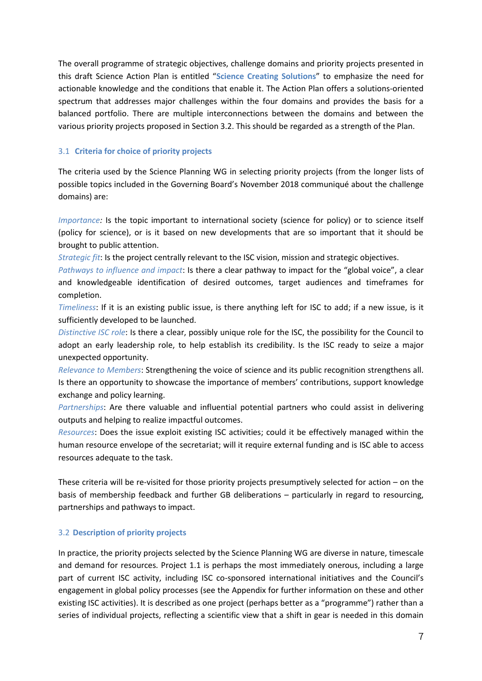The overall programme of strategic objectives, challenge domains and priority projects presented in this draft Science Action Plan is entitled "**Science Creating Solutions**" to emphasize the need for actionable knowledge and the conditions that enable it. The Action Plan offers a solutions-oriented spectrum that addresses major challenges within the four domains and provides the basis for a balanced portfolio. There are multiple interconnections between the domains and between the various priority projects proposed in Section 3.2. This should be regarded as a strength of the Plan.

#### 3.1 **Criteria for choice of priority projects**

The criteria used by the Science Planning WG in selecting priority projects (from the longer lists of possible topics included in the Governing Board's November 2018 communiqué about the challenge domains) are:

*Importance:* Is the topic important to international society (science for policy) or to science itself (policy for science), or is it based on new developments that are so important that it should be brought to public attention.

*Strategic fit*: Is the project centrally relevant to the ISC vision, mission and strategic objectives.

*Pathways to influence and impact*: Is there a clear pathway to impact for the "global voice", a clear and knowledgeable identification of desired outcomes, target audiences and timeframes for completion.

*Timeliness*: If it is an existing public issue, is there anything left for ISC to add; if a new issue, is it sufficiently developed to be launched.

*Distinctive ISC role*: Is there a clear, possibly unique role for the ISC, the possibility for the Council to adopt an early leadership role, to help establish its credibility. Is the ISC ready to seize a major unexpected opportunity.

*Relevance to Members*: Strengthening the voice of science and its public recognition strengthens all. Is there an opportunity to showcase the importance of members' contributions, support knowledge exchange and policy learning.

*Partnerships*: Are there valuable and influential potential partners who could assist in delivering outputs and helping to realize impactful outcomes.

*Resources*: Does the issue exploit existing ISC activities; could it be effectively managed within the human resource envelope of the secretariat; will it require external funding and is ISC able to access resources adequate to the task.

These criteria will be re-visited for those priority projects presumptively selected for action – on the basis of membership feedback and further GB deliberations – particularly in regard to resourcing, partnerships and pathways to impact.

#### 3.2 **Description of priority projects**

In practice, the priority projects selected by the Science Planning WG are diverse in nature, timescale and demand for resources. Project 1.1 is perhaps the most immediately onerous, including a large part of current ISC activity, including ISC co-sponsored international initiatives and the Council's engagement in global policy processes (see the Appendix for further information on these and other existing ISC activities). It is described as one project (perhaps better as a "programme") rather than a series of individual projects, reflecting a scientific view that a shift in gear is needed in this domain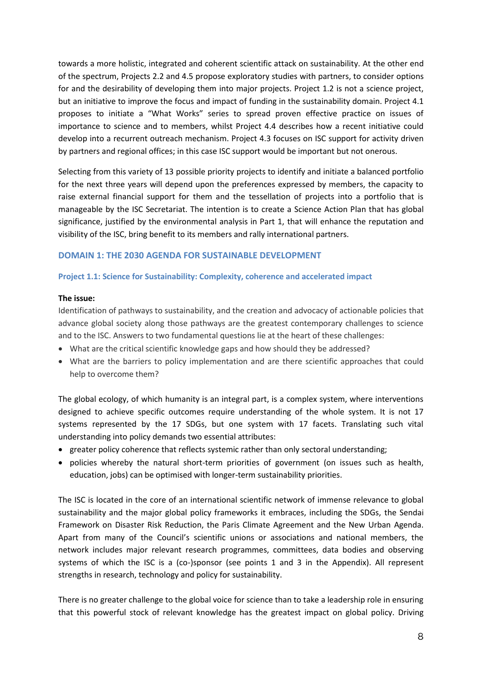towards a more holistic, integrated and coherent scientific attack on sustainability. At the other end of the spectrum, Projects 2.2 and 4.5 propose exploratory studies with partners, to consider options for and the desirability of developing them into major projects. Project 1.2 is not a science project, but an initiative to improve the focus and impact of funding in the sustainability domain. Project 4.1 proposes to initiate a "What Works" series to spread proven effective practice on issues of importance to science and to members, whilst Project 4.4 describes how a recent initiative could develop into a recurrent outreach mechanism. Project 4.3 focuses on ISC support for activity driven by partners and regional offices; in this case ISC support would be important but not onerous.

Selecting from this variety of 13 possible priority projects to identify and initiate a balanced portfolio for the next three years will depend upon the preferences expressed by members, the capacity to raise external financial support for them and the tessellation of projects into a portfolio that is manageable by the ISC Secretariat. The intention is to create a Science Action Plan that has global significance, justified by the environmental analysis in Part 1, that will enhance the reputation and visibility of the ISC, bring benefit to its members and rally international partners.

#### **DOMAIN 1: THE 2030 AGENDA FOR SUSTAINABLE DEVELOPMENT**

#### **Project 1.1: Science for Sustainability: Complexity, coherence and accelerated impact**

#### **The issue:**

Identification of pathways to sustainability, and the creation and advocacy of actionable policies that advance global society along those pathways are the greatest contemporary challenges to science and to the ISC. Answers to two fundamental questions lie at the heart of these challenges:

- What are the critical scientific knowledge gaps and how should they be addressed?
- What are the barriers to policy implementation and are there scientific approaches that could help to overcome them?

The global ecology, of which humanity is an integral part, is a complex system, where interventions designed to achieve specific outcomes require understanding of the whole system. It is not 17 systems represented by the 17 SDGs, but one system with 17 facets. Translating such vital understanding into policy demands two essential attributes:

- greater policy coherence that reflects systemic rather than only sectoral understanding;
- policies whereby the natural short-term priorities of government (on issues such as health, education, jobs) can be optimised with longer-term sustainability priorities.

The ISC is located in the core of an international scientific network of immense relevance to global sustainability and the major global policy frameworks it embraces, including the SDGs, the Sendai Framework on Disaster Risk Reduction, the Paris Climate Agreement and the New Urban Agenda. Apart from many of the Council's scientific unions or associations and national members, the network includes major relevant research programmes, committees, data bodies and observing systems of which the ISC is a (co-)sponsor (see points 1 and 3 in the Appendix). All represent strengths in research, technology and policy for sustainability.

There is no greater challenge to the global voice for science than to take a leadership role in ensuring that this powerful stock of relevant knowledge has the greatest impact on global policy. Driving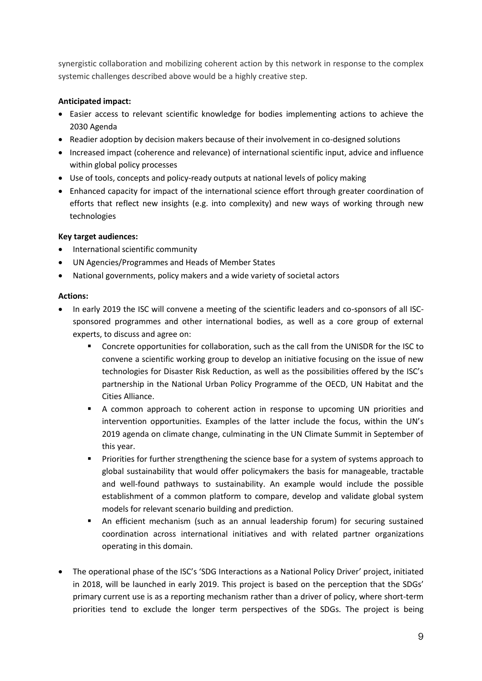synergistic collaboration and mobilizing coherent action by this network in response to the complex systemic challenges described above would be a highly creative step.

# **Anticipated impact:**

- Easier access to relevant scientific knowledge for bodies implementing actions to achieve the 2030 Agenda
- Readier adoption by decision makers because of their involvement in co-designed solutions
- Increased impact (coherence and relevance) of international scientific input, advice and influence within global policy processes
- Use of tools, concepts and policy-ready outputs at national levels of policy making
- Enhanced capacity for impact of the international science effort through greater coordination of efforts that reflect new insights (e.g. into complexity) and new ways of working through new technologies

# **Key target audiences:**

- International scientific community
- UN Agencies/Programmes and Heads of Member States
- National governments, policy makers and a wide variety of societal actors

#### **Actions:**

- In early 2019 the ISC will convene a meeting of the scientific leaders and co-sponsors of all ISCsponsored programmes and other international bodies, as well as a core group of external experts, to discuss and agree on:
	- Concrete opportunities for collaboration, such as the call from the UNISDR for the ISC to convene a scientific working group to develop an initiative focusing on the issue of new technologies for Disaster Risk Reduction, as well as the possibilities offered by the ISC's partnership in the National Urban Policy Programme of the OECD, UN Habitat and the Cities Alliance.
	- A common approach to coherent action in response to upcoming UN priorities and intervention opportunities. Examples of the latter include the focus, within the UN's 2019 agenda on climate change, culminating in the UN Climate Summit in September of this year.
	- Priorities for further strengthening the science base for a system of systems approach to global sustainability that would offer policymakers the basis for manageable, tractable and well-found pathways to sustainability. An example would include the possible establishment of a common platform to compare, develop and validate global system models for relevant scenario building and prediction.
	- An efficient mechanism (such as an annual leadership forum) for securing sustained coordination across international initiatives and with related partner organizations operating in this domain.
- The operational phase of the ISC's 'SDG Interactions as a National Policy Driver' project, initiated in 2018, will be launched in early 2019. This project is based on the perception that the SDGs' primary current use is as a reporting mechanism rather than a driver of policy, where short-term priorities tend to exclude the longer term perspectives of the SDGs. The project is being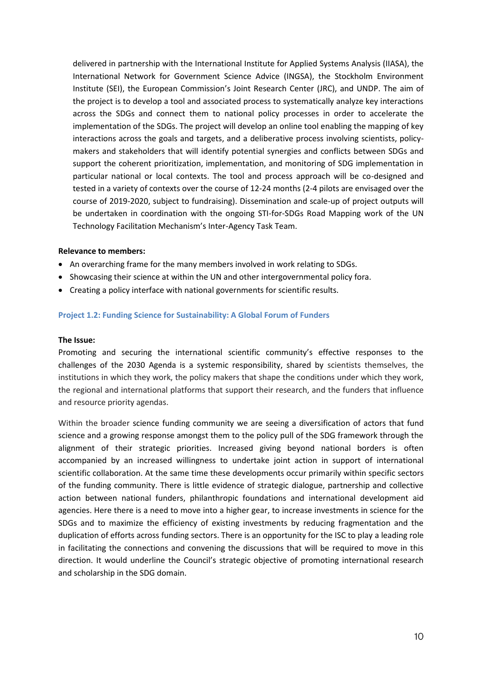delivered in partnership with the International Institute for Applied Systems Analysis (IIASA), the International Network for Government Science Advice (INGSA), the Stockholm Environment Institute (SEI), the European Commission's Joint Research Center (JRC), and UNDP. The aim of the project is to develop a tool and associated process to systematically analyze key interactions across the SDGs and connect them to national policy processes in order to accelerate the implementation of the SDGs. The project will develop an online tool enabling the mapping of key interactions across the goals and targets, and a deliberative process involving scientists, policymakers and stakeholders that will identify potential synergies and conflicts between SDGs and support the coherent prioritization, implementation, and monitoring of SDG implementation in particular national or local contexts. The tool and process approach will be co-designed and tested in a variety of contexts over the course of 12-24 months (2-4 pilots are envisaged over the course of 2019-2020, subject to fundraising). Dissemination and scale-up of project outputs will be undertaken in coordination with the ongoing STI-for-SDGs Road Mapping work of the UN Technology Facilitation Mechanism's Inter-Agency Task Team.

#### **Relevance to members:**

- An overarching frame for the many members involved in work relating to SDGs.
- Showcasing their science at within the UN and other intergovernmental policy fora.
- Creating a policy interface with national governments for scientific results.

#### **Project 1.2: Funding Science for Sustainability: A Global Forum of Funders**

#### **The Issue:**

Promoting and securing the international scientific community's effective responses to the challenges of the 2030 Agenda is a systemic responsibility, shared by scientists themselves, the institutions in which they work, the policy makers that shape the conditions under which they work, the regional and international platforms that support their research, and the funders that influence and resource priority agendas.

Within the broader science funding community we are seeing a diversification of actors that fund science and a growing response amongst them to the policy pull of the SDG framework through the alignment of their strategic priorities. Increased giving beyond national borders is often accompanied by an increased willingness to undertake joint action in support of international scientific collaboration. At the same time these developments occur primarily within specific sectors of the funding community. There is little evidence of strategic dialogue, partnership and collective action between national funders, philanthropic foundations and international development aid agencies. Here there is a need to move into a higher gear, to increase investments in science for the SDGs and to maximize the efficiency of existing investments by reducing fragmentation and the duplication of efforts across funding sectors. There is an opportunity for the ISC to play a leading role in facilitating the connections and convening the discussions that will be required to move in this direction. It would underline the Council's strategic objective of promoting international research and scholarship in the SDG domain.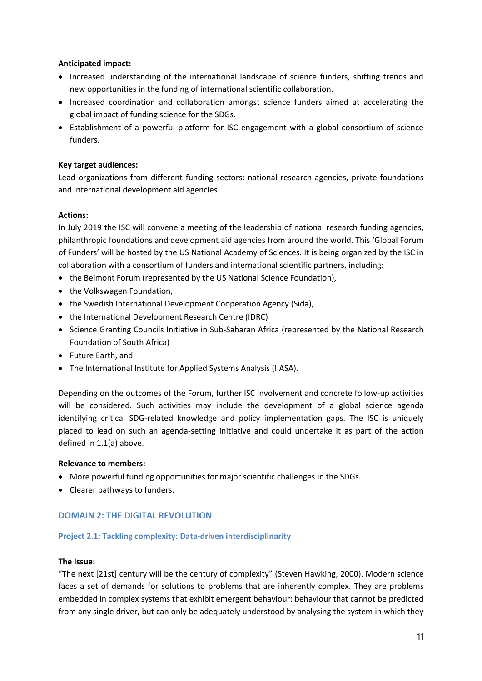# **Anticipated impact:**

- Increased understanding of the international landscape of science funders, shifting trends and new opportunities in the funding of international scientific collaboration.
- Increased coordination and collaboration amongst science funders aimed at accelerating the global impact of funding science for the SDGs.
- Establishment of a powerful platform for ISC engagement with a global consortium of science funders.

#### **Key target audiences:**

Lead organizations from different funding sectors: national research agencies, private foundations and international development aid agencies.

#### **Actions:**

In July 2019 the ISC will convene a meeting of the leadership of national research funding agencies, philanthropic foundations and development aid agencies from around the world. This 'Global Forum of Funders' will be hosted by the US National Academy of Sciences. It is being organized by the ISC in collaboration with a consortium of funders and international scientific partners, including:

- the Belmont Forum (represented by the US National Science Foundation),
- the Volkswagen Foundation,
- the Swedish International Development Cooperation Agency (Sida),
- the International Development Research Centre (IDRC)
- Science Granting Councils Initiative in Sub-Saharan Africa (represented by the National Research Foundation of South Africa)
- Future Earth, and
- The International Institute for Applied Systems Analysis (IIASA).

Depending on the outcomes of the Forum, further ISC involvement and concrete follow-up activities will be considered. Such activities may include the development of a global science agenda identifying critical SDG-related knowledge and policy implementation gaps. The ISC is uniquely placed to lead on such an agenda-setting initiative and could undertake it as part of the action defined in 1.1(a) above.

#### **Relevance to members:**

- More powerful funding opportunities for major scientific challenges in the SDGs.
- Clearer pathways to funders.

# **DOMAIN 2: THE DIGITAL REVOLUTION**

#### **Project 2.1: Tackling complexity: Data-driven interdisciplinarity**

#### **The Issue:**

"The next [21st] century will be the century of complexity" (Steven Hawking, 2000). Modern science faces a set of demands for solutions to problems that are inherently complex. They are problems embedded in complex systems that exhibit emergent behaviour: behaviour that cannot be predicted from any single driver, but can only be adequately understood by analysing the system in which they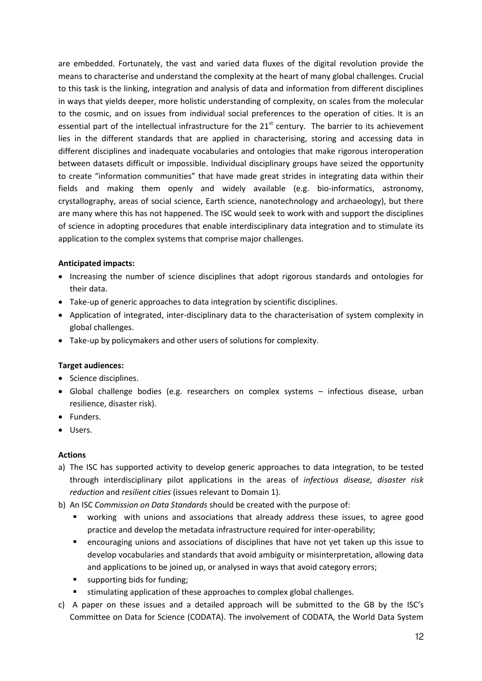are embedded. Fortunately, the vast and varied data fluxes of the digital revolution provide the means to characterise and understand the complexity at the heart of many global challenges. Crucial to this task is the linking, integration and analysis of data and information from different disciplines in ways that yields deeper, more holistic understanding of complexity, on scales from the molecular to the cosmic, and on issues from individual social preferences to the operation of cities. It is an essential part of the intellectual infrastructure for the  $21<sup>st</sup>$  century. The barrier to its achievement lies in the different standards that are applied in characterising, storing and accessing data in different disciplines and inadequate vocabularies and ontologies that make rigorous interoperation between datasets difficult or impossible. Individual disciplinary groups have seized the opportunity to create "information communities" that have made great strides in integrating data within their fields and making them openly and widely available (e.g. bio-informatics, astronomy, crystallography, areas of social science, Earth science, nanotechnology and archaeology), but there are many where this has not happened. The ISC would seek to work with and support the disciplines of science in adopting procedures that enable interdisciplinary data integration and to stimulate its application to the complex systems that comprise major challenges.

# **Anticipated impacts:**

- Increasing the number of science disciplines that adopt rigorous standards and ontologies for their data.
- Take-up of generic approaches to data integration by scientific disciplines.
- Application of integrated, inter-disciplinary data to the characterisation of system complexity in global challenges.
- Take-up by policymakers and other users of solutions for complexity.

# **Target audiences:**

- Science disciplines.
- Global challenge bodies (e.g. researchers on complex systems infectious disease, urban resilience, disaster risk).
- Funders.
- Users.

# **Actions**

- a) The ISC has supported activity to develop generic approaches to data integration, to be tested through interdisciplinary pilot applications in the areas of *infectious disease, disaster risk reduction* and *resilient cities* (issues relevant to Domain 1).
- b) An ISC *Commission on Data Standards* should be created with the purpose of:
	- working with unions and associations that already address these issues, to agree good practice and develop the metadata infrastructure required for inter-operability;
	- encouraging unions and associations of disciplines that have not yet taken up this issue to develop vocabularies and standards that avoid ambiguity or misinterpretation, allowing data and applications to be joined up, or analysed in ways that avoid category errors;
	- supporting bids for funding;
	- stimulating application of these approaches to complex global challenges.
- c) A paper on these issues and a detailed approach will be submitted to the GB by the ISC's Committee on Data for Science (CODATA). The involvement of CODATA, the World Data System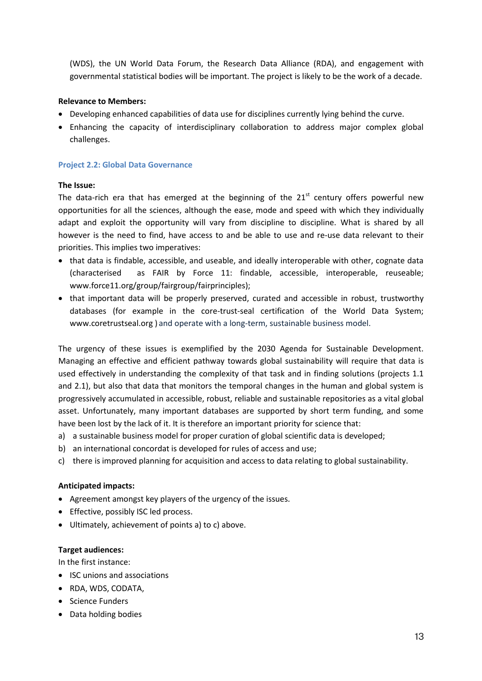(WDS), the UN World Data Forum, the Research Data Alliance (RDA), and engagement with governmental statistical bodies will be important. The project is likely to be the work of a decade.

#### **Relevance to Members:**

- Developing enhanced capabilities of data use for disciplines currently lying behind the curve.
- Enhancing the capacity of interdisciplinary collaboration to address major complex global challenges.

#### **Project 2.2: Global Data Governance**

#### **The Issue:**

The data-rich era that has emerged at the beginning of the  $21<sup>st</sup>$  century offers powerful new opportunities for all the sciences, although the ease, mode and speed with which they individually adapt and exploit the opportunity will vary from discipline to discipline. What is shared by all however is the need to find, have access to and be able to use and re-use data relevant to their priorities. This implies two imperatives:

- that data is findable, accessible, and useable, and ideally interoperable with other, cognate data (characterised as FAIR by Force 11: findable, accessible, interoperable, reuseable; www.force11.org/group/fairgroup/fairprinciples);
- that important data will be properly preserved, curated and accessible in robust, trustworthy databases (for example in the core-trust-seal certification of the World Data System; www.coretrustseal.org ) and operate with a long-term, sustainable business model.

The urgency of these issues is exemplified by the 2030 Agenda for Sustainable Development. Managing an effective and efficient pathway towards global sustainability will require that data is used effectively in understanding the complexity of that task and in finding solutions (projects 1.1 and 2.1), but also that data that monitors the temporal changes in the human and global system is progressively accumulated in accessible, robust, reliable and sustainable repositories as a vital global asset. Unfortunately, many important databases are supported by short term funding, and some have been lost by the lack of it. It is therefore an important priority for science that:

- a) a sustainable business model for proper curation of global scientific data is developed;
- b) an international concordat is developed for rules of access and use;
- c) there is improved planning for acquisition and access to data relating to global sustainability.

#### **Anticipated impacts:**

- Agreement amongst key players of the urgency of the issues.
- **•** Effective, possibly ISC led process.
- Ultimately, achievement of points a) to c) above.

#### **Target audiences:**

In the first instance:

- ISC unions and associations
- RDA, WDS, CODATA,
- Science Funders
- Data holding bodies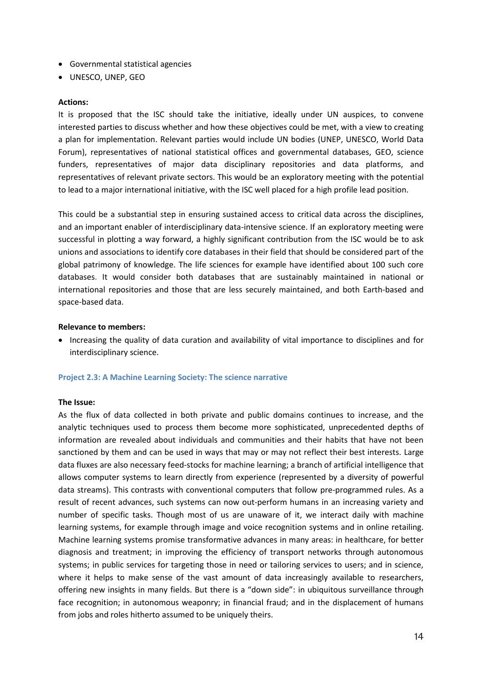- Governmental statistical agencies
- UNESCO, UNEP, GEO

#### **Actions:**

It is proposed that the ISC should take the initiative, ideally under UN auspices, to convene interested parties to discuss whether and how these objectives could be met, with a view to creating a plan for implementation. Relevant parties would include UN bodies (UNEP, UNESCO, World Data Forum), representatives of national statistical offices and governmental databases, GEO, science funders, representatives of major data disciplinary repositories and data platforms, and representatives of relevant private sectors. This would be an exploratory meeting with the potential to lead to a major international initiative, with the ISC well placed for a high profile lead position.

This could be a substantial step in ensuring sustained access to critical data across the disciplines, and an important enabler of interdisciplinary data-intensive science. If an exploratory meeting were successful in plotting a way forward, a highly significant contribution from the ISC would be to ask unions and associations to identify core databases in their field that should be considered part of the global patrimony of knowledge. The life sciences for example have identified about 100 such core databases. It would consider both databases that are sustainably maintained in national or international repositories and those that are less securely maintained, and both Earth-based and space-based data.

#### **Relevance to members:**

 Increasing the quality of data curation and availability of vital importance to disciplines and for interdisciplinary science.

#### **Project 2.3: A Machine Learning Society: The science narrative**

#### **The Issue:**

As the flux of data collected in both private and public domains continues to increase, and the analytic techniques used to process them become more sophisticated, unprecedented depths of information are revealed about individuals and communities and their habits that have not been sanctioned by them and can be used in ways that may or may not reflect their best interests. Large data fluxes are also necessary feed-stocks for machine learning; a branch of artificial intelligence that allows computer systems to learn directly from experience (represented by a diversity of powerful data streams). This contrasts with conventional computers that follow pre-programmed rules. As a result of recent advances, such systems can now out-perform humans in an increasing variety and number of specific tasks. Though most of us are unaware of it, we interact daily with machine learning systems, for example through image and voice recognition systems and in online retailing. Machine learning systems promise transformative advances in many areas: in healthcare, for better diagnosis and treatment; in improving the efficiency of transport networks through autonomous systems; in public services for targeting those in need or tailoring services to users; and in science, where it helps to make sense of the vast amount of data increasingly available to researchers, offering new insights in many fields. But there is a "down side": in ubiquitous surveillance through face recognition; in autonomous weaponry; in financial fraud; and in the displacement of humans from jobs and roles hitherto assumed to be uniquely theirs.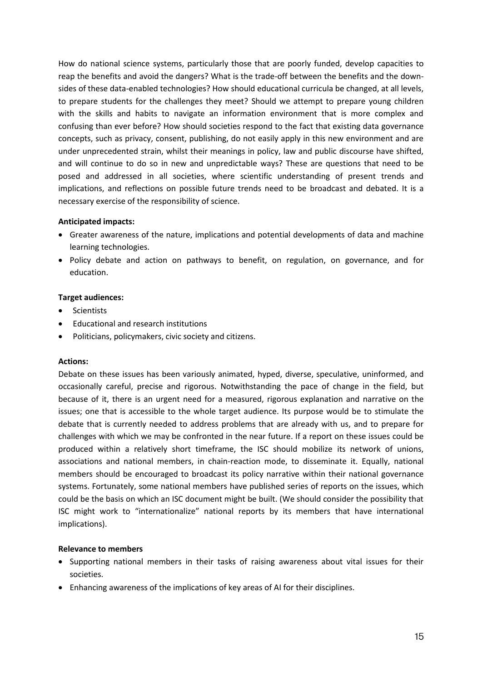How do national science systems, particularly those that are poorly funded, develop capacities to reap the benefits and avoid the dangers? What is the trade-off between the benefits and the downsides of these data-enabled technologies? How should educational curricula be changed, at all levels, to prepare students for the challenges they meet? Should we attempt to prepare young children with the skills and habits to navigate an information environment that is more complex and confusing than ever before? How should societies respond to the fact that existing data governance concepts, such as privacy, consent, publishing, do not easily apply in this new environment and are under unprecedented strain, whilst their meanings in policy, law and public discourse have shifted, and will continue to do so in new and unpredictable ways? These are questions that need to be posed and addressed in all societies, where scientific understanding of present trends and implications, and reflections on possible future trends need to be broadcast and debated. It is a necessary exercise of the responsibility of science.

#### **Anticipated impacts:**

- Greater awareness of the nature, implications and potential developments of data and machine learning technologies.
- Policy debate and action on pathways to benefit, on regulation, on governance, and for education.

#### **Target audiences:**

- Scientists
- Educational and research institutions
- Politicians, policymakers, civic society and citizens.

#### **Actions:**

Debate on these issues has been variously animated, hyped, diverse, speculative, uninformed, and occasionally careful, precise and rigorous. Notwithstanding the pace of change in the field, but because of it, there is an urgent need for a measured, rigorous explanation and narrative on the issues; one that is accessible to the whole target audience. Its purpose would be to stimulate the debate that is currently needed to address problems that are already with us, and to prepare for challenges with which we may be confronted in the near future. If a report on these issues could be produced within a relatively short timeframe, the ISC should mobilize its network of unions, associations and national members, in chain-reaction mode, to disseminate it. Equally, national members should be encouraged to broadcast its policy narrative within their national governance systems. Fortunately, some national members have published series of reports on the issues, which could be the basis on which an ISC document might be built. (We should consider the possibility that ISC might work to "internationalize" national reports by its members that have international implications).

#### **Relevance to members**

- Supporting national members in their tasks of raising awareness about vital issues for their societies.
- Enhancing awareness of the implications of key areas of AI for their disciplines.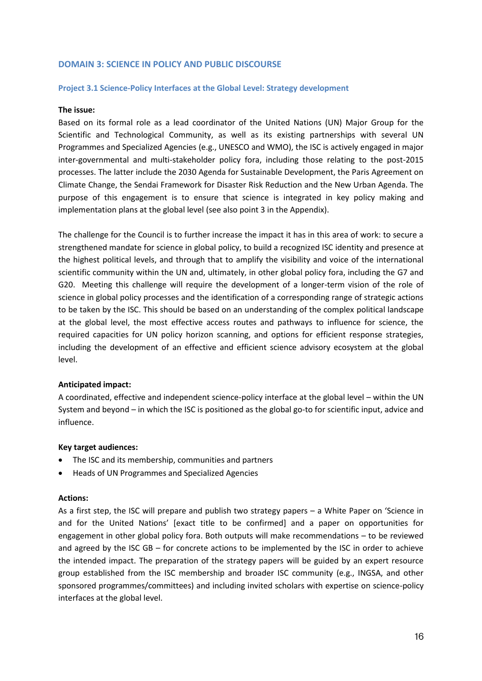#### **DOMAIN 3: SCIENCE IN POLICY AND PUBLIC DISCOURSE**

#### **Project 3.1 Science-Policy Interfaces at the Global Level: Strategy development**

#### **The issue:**

Based on its formal role as a lead coordinator of the United Nations (UN) Major Group for the Scientific and Technological Community, as well as its existing partnerships with several UN Programmes and Specialized Agencies (e.g., UNESCO and WMO), the ISC is actively engaged in major inter-governmental and multi-stakeholder policy fora, including those relating to the post-2015 processes. The latter include the 2030 Agenda for Sustainable Development, the Paris Agreement on Climate Change, the Sendai Framework for Disaster Risk Reduction and the New Urban Agenda. The purpose of this engagement is to ensure that science is integrated in key policy making and implementation plans at the global level (see also point 3 in the Appendix).

The challenge for the Council is to further increase the impact it has in this area of work: to secure a strengthened mandate for science in global policy, to build a recognized ISC identity and presence at the highest political levels, and through that to amplify the visibility and voice of the international scientific community within the UN and, ultimately, in other global policy fora, including the G7 and G20. Meeting this challenge will require the development of a longer-term vision of the role of science in global policy processes and the identification of a corresponding range of strategic actions to be taken by the ISC. This should be based on an understanding of the complex political landscape at the global level, the most effective access routes and pathways to influence for science, the required capacities for UN policy horizon scanning, and options for efficient response strategies, including the development of an effective and efficient science advisory ecosystem at the global level.

#### **Anticipated impact:**

A coordinated, effective and independent science-policy interface at the global level – within the UN System and beyond – in which the ISC is positioned as the global go-to for scientific input, advice and influence.

#### **Key target audiences:**

- The ISC and its membership, communities and partners
- Heads of UN Programmes and Specialized Agencies

#### **Actions:**

As a first step, the ISC will prepare and publish two strategy papers – a White Paper on 'Science in and for the United Nations' [exact title to be confirmed] and a paper on opportunities for engagement in other global policy fora. Both outputs will make recommendations – to be reviewed and agreed by the ISC GB – for concrete actions to be implemented by the ISC in order to achieve the intended impact. The preparation of the strategy papers will be guided by an expert resource group established from the ISC membership and broader ISC community (e.g., INGSA, and other sponsored programmes/committees) and including invited scholars with expertise on science-policy interfaces at the global level.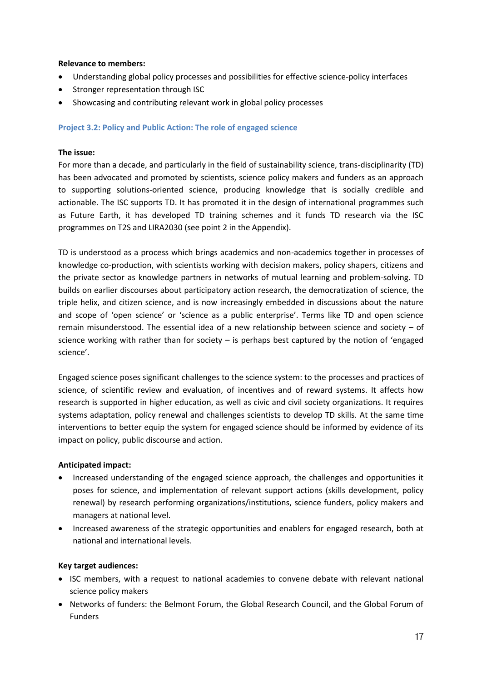#### **Relevance to members:**

- Understanding global policy processes and possibilities for effective science-policy interfaces
- Stronger representation through ISC
- Showcasing and contributing relevant work in global policy processes

#### **Project 3.2: Policy and Public Action: The role of engaged science**

#### **The issue:**

For more than a decade, and particularly in the field of sustainability science, trans-disciplinarity (TD) has been advocated and promoted by scientists, science policy makers and funders as an approach to supporting solutions-oriented science, producing knowledge that is socially credible and actionable. The ISC supports TD. It has promoted it in the design of international programmes such as Future Earth, it has developed TD training schemes and it funds TD research via the ISC programmes on T2S and LIRA2030 (see point 2 in the Appendix).

TD is understood as a process which brings academics and non-academics together in processes of knowledge co-production, with scientists working with decision makers, policy shapers, citizens and the private sector as knowledge partners in networks of mutual learning and problem-solving. TD builds on earlier discourses about participatory action research, the democratization of science, the triple helix, and citizen science, and is now increasingly embedded in discussions about the nature and scope of 'open science' or 'science as a public enterprise'. Terms like TD and open science remain misunderstood. The essential idea of a new relationship between science and society – of science working with rather than for society – is perhaps best captured by the notion of 'engaged science'.

Engaged science poses significant challenges to the science system: to the processes and practices of science, of scientific review and evaluation, of incentives and of reward systems. It affects how research is supported in higher education, as well as civic and civil society organizations. It requires systems adaptation, policy renewal and challenges scientists to develop TD skills. At the same time interventions to better equip the system for engaged science should be informed by evidence of its impact on policy, public discourse and action.

#### **Anticipated impact:**

- Increased understanding of the engaged science approach, the challenges and opportunities it poses for science, and implementation of relevant support actions (skills development, policy renewal) by research performing organizations/institutions, science funders, policy makers and managers at national level.
- Increased awareness of the strategic opportunities and enablers for engaged research, both at national and international levels.

# **Key target audiences:**

- ISC members, with a request to national academies to convene debate with relevant national science policy makers
- Networks of funders: the Belmont Forum, the Global Research Council, and the Global Forum of Funders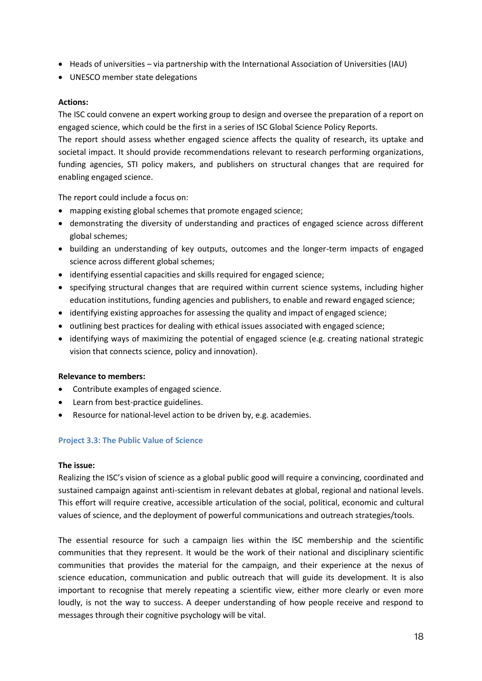- Heads of universities via partnership with the International Association of Universities (IAU)
- UNESCO member state delegations

# **Actions:**

The ISC could convene an expert working group to design and oversee the preparation of a report on engaged science, which could be the first in a series of ISC Global Science Policy Reports.

The report should assess whether engaged science affects the quality of research, its uptake and societal impact. It should provide recommendations relevant to research performing organizations, funding agencies, STI policy makers, and publishers on structural changes that are required for enabling engaged science.

The report could include a focus on:

- mapping existing global schemes that promote engaged science;
- demonstrating the diversity of understanding and practices of engaged science across different global schemes;
- building an understanding of key outputs, outcomes and the longer-term impacts of engaged science across different global schemes;
- identifying essential capacities and skills required for engaged science;
- specifying structural changes that are required within current science systems, including higher education institutions, funding agencies and publishers, to enable and reward engaged science;
- identifying existing approaches for assessing the quality and impact of engaged science;
- outlining best practices for dealing with ethical issues associated with engaged science;
- identifying ways of maximizing the potential of engaged science (e.g. creating national strategic vision that connects science, policy and innovation).

# **Relevance to members:**

- Contribute examples of engaged science.
- Learn from best-practice guidelines.
- Resource for national-level action to be driven by, e.g. academies.

# **Project 3.3: The Public Value of Science**

#### **The issue:**

Realizing the ISC's vision of science as a global public good will require a convincing, coordinated and sustained campaign against anti-scientism in relevant debates at global, regional and national levels. This effort will require creative, accessible articulation of the social, political, economic and cultural values of science, and the deployment of powerful communications and outreach strategies/tools.

The essential resource for such a campaign lies within the ISC membership and the scientific communities that they represent. It would be the work of their national and disciplinary scientific communities that provides the material for the campaign, and their experience at the nexus of science education, communication and public outreach that will guide its development. It is also important to recognise that merely repeating a scientific view, either more clearly or even more loudly, is not the way to success. A deeper understanding of how people receive and respond to messages through their cognitive psychology will be vital.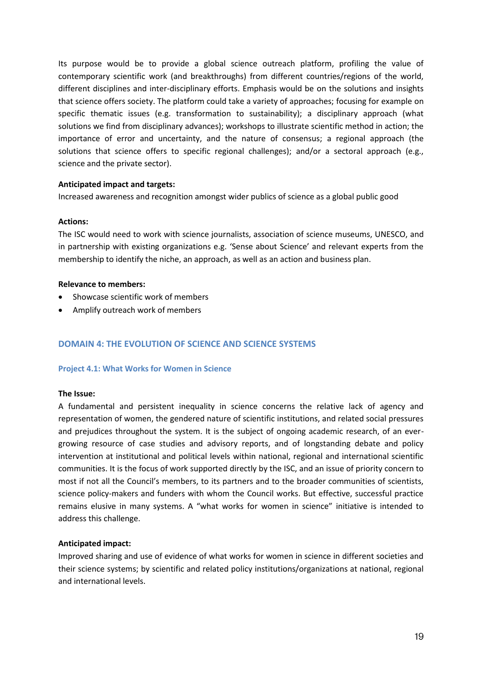Its purpose would be to provide a global science outreach platform, profiling the value of contemporary scientific work (and breakthroughs) from different countries/regions of the world, different disciplines and inter-disciplinary efforts. Emphasis would be on the solutions and insights that science offers society. The platform could take a variety of approaches; focusing for example on specific thematic issues (e.g. transformation to sustainability); a disciplinary approach (what solutions we find from disciplinary advances); workshops to illustrate scientific method in action; the importance of error and uncertainty, and the nature of consensus; a regional approach (the solutions that science offers to specific regional challenges); and/or a sectoral approach (e.g., science and the private sector).

#### **Anticipated impact and targets:**

Increased awareness and recognition amongst wider publics of science as a global public good

#### **Actions:**

The ISC would need to work with science journalists, association of science museums, UNESCO, and in partnership with existing organizations e.g. 'Sense about Science' and relevant experts from the membership to identify the niche, an approach, as well as an action and business plan.

#### **Relevance to members:**

- Showcase scientific work of members
- Amplify outreach work of members

# **DOMAIN 4: THE EVOLUTION OF SCIENCE AND SCIENCE SYSTEMS**

#### **Project 4.1: What Works for Women in Science**

#### **The Issue:**

A fundamental and persistent inequality in science concerns the relative lack of agency and representation of women, the gendered nature of scientific institutions, and related social pressures and prejudices throughout the system. It is the subject of ongoing academic research, of an evergrowing resource of case studies and advisory reports, and of longstanding debate and policy intervention at institutional and political levels within national, regional and international scientific communities. It is the focus of work supported directly by the ISC, and an issue of priority concern to most if not all the Council's members, to its partners and to the broader communities of scientists, science policy-makers and funders with whom the Council works. But effective, successful practice remains elusive in many systems. A "what works for women in science" initiative is intended to address this challenge.

#### **Anticipated impact:**

Improved sharing and use of evidence of what works for women in science in different societies and their science systems; by scientific and related policy institutions/organizations at national, regional and international levels.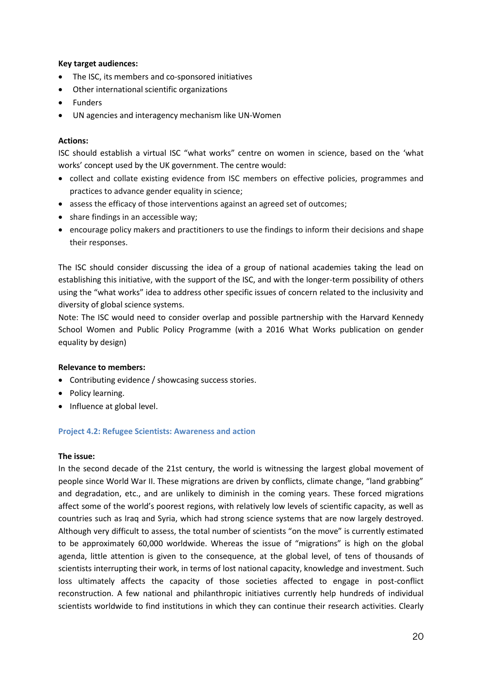#### **Key target audiences:**

- The ISC, its members and co-sponsored initiatives
- Other international scientific organizations
- Funders
- UN agencies and interagency mechanism like UN-Women

#### **Actions:**

ISC should establish a virtual ISC "what works" centre on women in science, based on the 'what works' concept used by the UK government. The centre would:

- collect and collate existing evidence from ISC members on effective policies, programmes and practices to advance gender equality in science;
- assess the efficacy of those interventions against an agreed set of outcomes;
- share findings in an accessible way;
- encourage policy makers and practitioners to use the findings to inform their decisions and shape their responses.

The ISC should consider discussing the idea of a group of national academies taking the lead on establishing this initiative, with the support of the ISC, and with the longer-term possibility of others using the "what works" idea to address other specific issues of concern related to the inclusivity and diversity of global science systems.

Note: The ISC would need to consider overlap and possible partnership with the Harvard Kennedy School Women and Public Policy Programme (with a 2016 What Works publication on gender equality by design)

#### **Relevance to members:**

- Contributing evidence / showcasing success stories.
- Policy learning.
- Influence at global level.

#### **Project 4.2: Refugee Scientists: Awareness and action**

#### **The issue:**

In the second decade of the 21st century, the world is witnessing the largest global movement of people since World War II. These migrations are driven by conflicts, climate change, "land grabbing" and degradation, etc., and are unlikely to diminish in the coming years. These forced migrations affect some of the world's poorest regions, with relatively low levels of scientific capacity, as well as countries such as Iraq and Syria, which had strong science systems that are now largely destroyed. Although very difficult to assess, the total number of scientists "on the move" is currently estimated to be approximately 60,000 worldwide. Whereas the issue of "migrations" is high on the global agenda, little attention is given to the consequence, at the global level, of tens of thousands of scientists interrupting their work, in terms of lost national capacity, knowledge and investment. Such loss ultimately affects the capacity of those societies affected to engage in post-conflict reconstruction. A few national and philanthropic initiatives currently help hundreds of individual scientists worldwide to find institutions in which they can continue their research activities. Clearly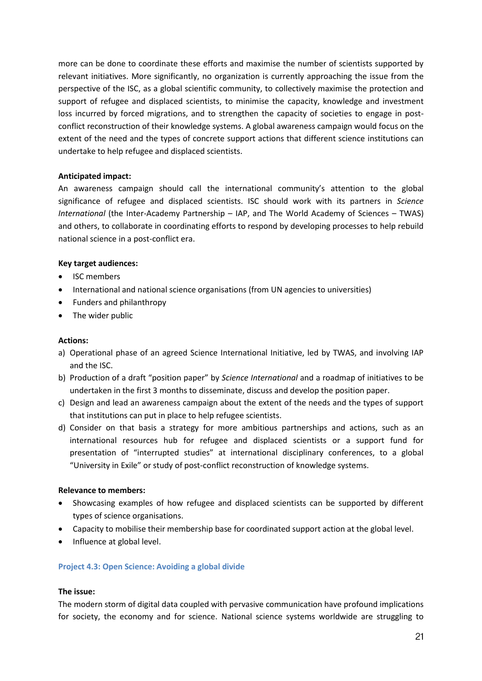more can be done to coordinate these efforts and maximise the number of scientists supported by relevant initiatives. More significantly, no organization is currently approaching the issue from the perspective of the ISC, as a global scientific community, to collectively maximise the protection and support of refugee and displaced scientists, to minimise the capacity, knowledge and investment loss incurred by forced migrations, and to strengthen the capacity of societies to engage in postconflict reconstruction of their knowledge systems. A global awareness campaign would focus on the extent of the need and the types of concrete support actions that different science institutions can undertake to help refugee and displaced scientists.

#### **Anticipated impact:**

An awareness campaign should call the international community's attention to the global significance of refugee and displaced scientists. ISC should work with its partners in *Science International* (the Inter-Academy Partnership – IAP, and The World Academy of Sciences – TWAS) and others, to collaborate in coordinating efforts to respond by developing processes to help rebuild national science in a post-conflict era.

#### **Key target audiences:**

- ISC members
- International and national science organisations (from UN agencies to universities)
- Funders and philanthropy
- The wider public

#### **Actions:**

- a) Operational phase of an agreed Science International Initiative, led by TWAS, and involving IAP and the ISC.
- b) Production of a draft "position paper" by *Science International* and a roadmap of initiatives to be undertaken in the first 3 months to disseminate, discuss and develop the position paper.
- c) Design and lead an awareness campaign about the extent of the needs and the types of support that institutions can put in place to help refugee scientists.
- d) Consider on that basis a strategy for more ambitious partnerships and actions, such as an international resources hub for refugee and displaced scientists or a support fund for presentation of "interrupted studies" at international disciplinary conferences, to a global "University in Exile" or study of post-conflict reconstruction of knowledge systems.

#### **Relevance to members:**

- Showcasing examples of how refugee and displaced scientists can be supported by different types of science organisations.
- Capacity to mobilise their membership base for coordinated support action at the global level.
- Influence at global level.

#### **Project 4.3: Open Science: Avoiding a global divide**

#### **The issue:**

The modern storm of digital data coupled with pervasive communication have profound implications for society, the economy and for science. National science systems worldwide are struggling to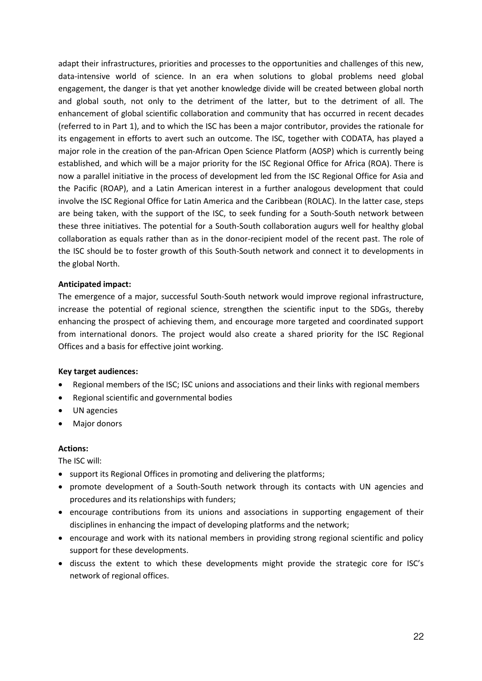adapt their infrastructures, priorities and processes to the opportunities and challenges of this new, data-intensive world of science. In an era when solutions to global problems need global engagement, the danger is that yet another knowledge divide will be created between global north and global south, not only to the detriment of the latter, but to the detriment of all. The enhancement of global scientific collaboration and community that has occurred in recent decades (referred to in Part 1), and to which the ISC has been a major contributor, provides the rationale for its engagement in efforts to avert such an outcome. The ISC, together with CODATA, has played a major role in the creation of the pan-African Open Science Platform (AOSP) which is currently being established, and which will be a major priority for the ISC Regional Office for Africa (ROA). There is now a parallel initiative in the process of development led from the ISC Regional Office for Asia and the Pacific (ROAP), and a Latin American interest in a further analogous development that could involve the ISC Regional Office for Latin America and the Caribbean (ROLAC). In the latter case, steps are being taken, with the support of the ISC, to seek funding for a South-South network between these three initiatives. The potential for a South-South collaboration augurs well for healthy global collaboration as equals rather than as in the donor-recipient model of the recent past. The role of the ISC should be to foster growth of this South-South network and connect it to developments in the global North.

#### **Anticipated impact:**

The emergence of a major, successful South-South network would improve regional infrastructure, increase the potential of regional science, strengthen the scientific input to the SDGs, thereby enhancing the prospect of achieving them, and encourage more targeted and coordinated support from international donors. The project would also create a shared priority for the ISC Regional Offices and a basis for effective joint working.

#### **Key target audiences:**

- Regional members of the ISC; ISC unions and associations and their links with regional members
- Regional scientific and governmental bodies
- UN agencies
- Major donors

#### **Actions:**

The ISC will:

- support its Regional Offices in promoting and delivering the platforms:
- promote development of a South-South network through its contacts with UN agencies and procedures and its relationships with funders;
- encourage contributions from its unions and associations in supporting engagement of their disciplines in enhancing the impact of developing platforms and the network;
- encourage and work with its national members in providing strong regional scientific and policy support for these developments.
- discuss the extent to which these developments might provide the strategic core for ISC's network of regional offices.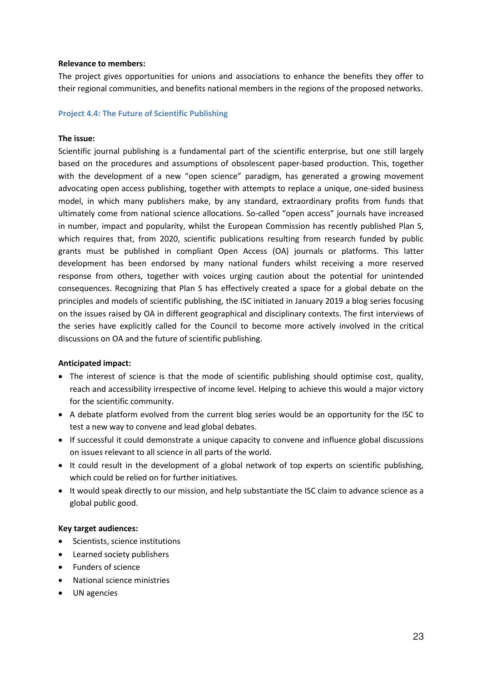#### **Relevance to members:**

The project gives opportunities for unions and associations to enhance the benefits they offer to their regional communities, and benefits national members in the regions of the proposed networks.

#### **Project 4.4: The Future of Scientific Publishing**

#### **The issue:**

Scientific journal publishing is a fundamental part of the scientific enterprise, but one still largely based on the procedures and assumptions of obsolescent paper-based production. This, together with the development of a new "open science" paradigm, has generated a growing movement advocating open access publishing, together with attempts to replace a unique, one-sided business model, in which many publishers make, by any standard, extraordinary profits from funds that ultimately come from national science allocations. So-called "open access" journals have increased in number, impact and popularity, whilst the European Commission has recently published Plan S, which requires that, from 2020, scientific publications resulting from research funded by public grants must be published in compliant Open Access (OA) journals or platforms. This latter development has been endorsed by many national funders whilst receiving a more reserved response from others, together with voices urging caution about the potential for unintended consequences. Recognizing that Plan S has effectively created a space for a global debate on the principles and models of scientific publishing, the ISC initiated in January 2019 a blog series focusing on the issues raised by OA in different geographical and disciplinary contexts. The first interviews of the series have explicitly called for the Council to become more actively involved in the critical discussions on OA and the future of scientific publishing.

#### **Anticipated impact:**

- The interest of science is that the mode of scientific publishing should optimise cost, quality, reach and accessibility irrespective of income level. Helping to achieve this would a major victory for the scientific community.
- A debate platform evolved from the current blog series would be an opportunity for the ISC to test a new way to convene and lead global debates.
- If successful it could demonstrate a unique capacity to convene and influence global discussions on issues relevant to all science in all parts of the world.
- It could result in the development of a global network of top experts on scientific publishing, which could be relied on for further initiatives.
- It would speak directly to our mission, and help substantiate the ISC claim to advance science as a global public good.

#### **Key target audiences:**

- Scientists, science institutions
- Learned society publishers
- Funders of science
- National science ministries
- UN agencies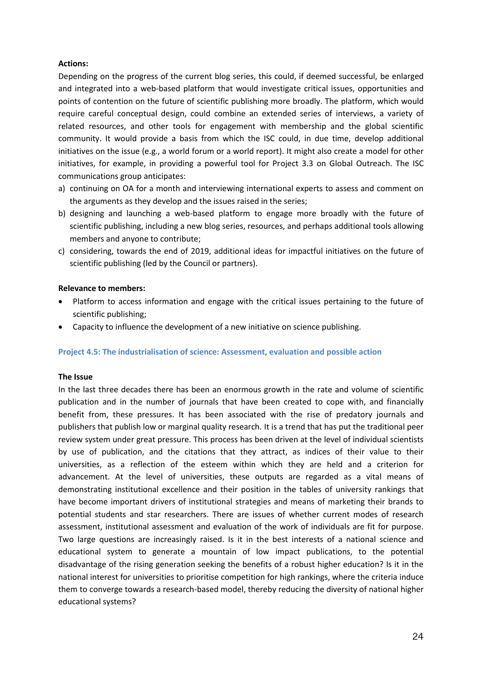#### **Actions:**

Depending on the progress of the current blog series, this could, if deemed successful, be enlarged and integrated into a web-based platform that would investigate critical issues, opportunities and points of contention on the future of scientific publishing more broadly. The platform, which would require careful conceptual design, could combine an extended series of interviews, a variety of related resources, and other tools for engagement with membership and the global scientific community. It would provide a basis from which the ISC could, in due time, develop additional initiatives on the issue (e.g., a world forum or a world report). It might also create a model for other initiatives, for example, in providing a powerful tool for Project 3.3 on Global Outreach. The ISC communications group anticipates:

- a) continuing on OA for a month and interviewing international experts to assess and comment on the arguments as they develop and the issues raised in the series;
- b) designing and launching a web-based platform to engage more broadly with the future of scientific publishing, including a new blog series, resources, and perhaps additional tools allowing members and anyone to contribute;
- c) considering, towards the end of 2019, additional ideas for impactful initiatives on the future of scientific publishing (led by the Council or partners).

#### **Relevance to members:**

- Platform to access information and engage with the critical issues pertaining to the future of scientific publishing;
- Capacity to influence the development of a new initiative on science publishing.

#### **Project 4.5: The industrialisation of science: Assessment, evaluation and possible action**

#### **The Issue**

In the last three decades there has been an enormous growth in the rate and volume of scientific publication and in the number of journals that have been created to cope with, and financially benefit from, these pressures. It has been associated with the rise of predatory journals and publishers that publish low or marginal quality research. It is a trend that has put the traditional peer review system under great pressure. This process has been driven at the level of individual scientists by use of publication, and the citations that they attract, as indices of their value to their universities, as a reflection of the esteem within which they are held and a criterion for advancement. At the level of universities, these outputs are regarded as a vital means of demonstrating institutional excellence and their position in the tables of university rankings that have become important drivers of institutional strategies and means of marketing their brands to potential students and star researchers. There are issues of whether current modes of research assessment, institutional assessment and evaluation of the work of individuals are fit for purpose. Two large questions are increasingly raised. Is it in the best interests of a national science and educational system to generate a mountain of low impact publications, to the potential disadvantage of the rising generation seeking the benefits of a robust higher education? Is it in the national interest for universities to prioritise competition for high rankings, where the criteria induce them to converge towards a research-based model, thereby reducing the diversity of national higher educational systems?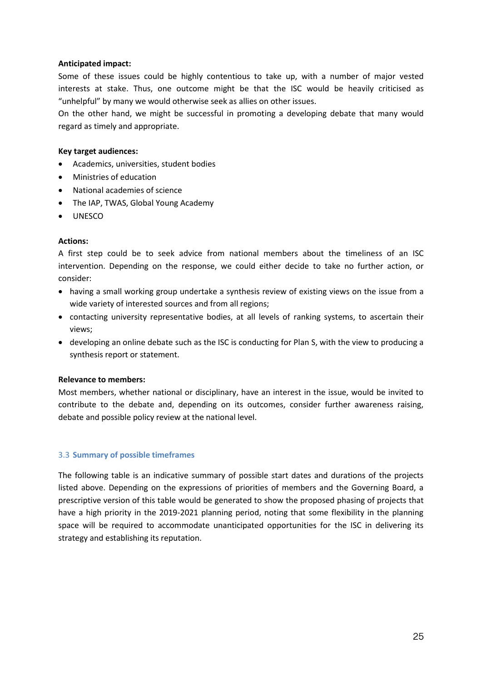#### **Anticipated impact:**

Some of these issues could be highly contentious to take up, with a number of major vested interests at stake. Thus, one outcome might be that the ISC would be heavily criticised as "unhelpful" by many we would otherwise seek as allies on other issues.

On the other hand, we might be successful in promoting a developing debate that many would regard as timely and appropriate.

#### **Key target audiences:**

- Academics, universities, student bodies
- Ministries of education
- National academies of science
- The IAP, TWAS, Global Young Academy
- UNESCO

#### **Actions:**

A first step could be to seek advice from national members about the timeliness of an ISC intervention. Depending on the response, we could either decide to take no further action, or consider:

- having a small working group undertake a synthesis review of existing views on the issue from a wide variety of interested sources and from all regions;
- contacting university representative bodies, at all levels of ranking systems, to ascertain their views;
- developing an online debate such as the ISC is conducting for Plan S, with the view to producing a synthesis report or statement.

#### **Relevance to members:**

Most members, whether national or disciplinary, have an interest in the issue, would be invited to contribute to the debate and, depending on its outcomes, consider further awareness raising, debate and possible policy review at the national level.

#### 3.3 **Summary of possible timeframes**

The following table is an indicative summary of possible start dates and durations of the projects listed above. Depending on the expressions of priorities of members and the Governing Board, a prescriptive version of this table would be generated to show the proposed phasing of projects that have a high priority in the 2019-2021 planning period, noting that some flexibility in the planning space will be required to accommodate unanticipated opportunities for the ISC in delivering its strategy and establishing its reputation.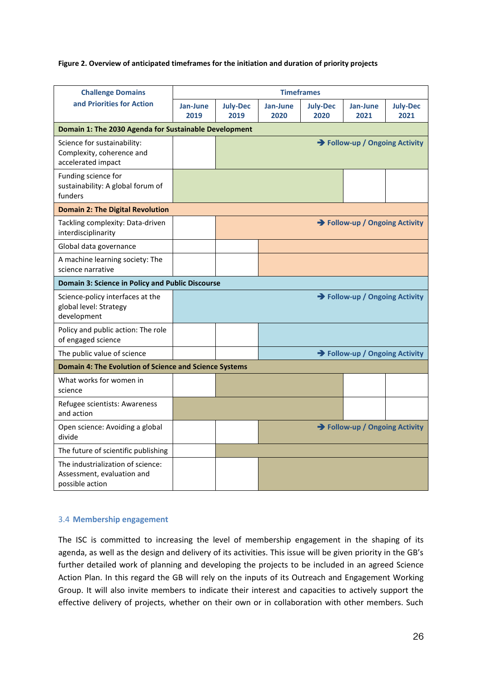#### **Figure 2. Overview of anticipated timeframes for the initiation and duration of priority projects**

| <b>Challenge Domains</b>                                                           | <b>Timeframes</b>              |                                |                  |                         |                                |                         |  |  |  |
|------------------------------------------------------------------------------------|--------------------------------|--------------------------------|------------------|-------------------------|--------------------------------|-------------------------|--|--|--|
| and Priorities for Action                                                          | Jan-June<br>2019               | <b>July-Dec</b><br>2019        | Jan-June<br>2020 | <b>July-Dec</b><br>2020 | Jan-June<br>2021               | <b>July-Dec</b><br>2021 |  |  |  |
| Domain 1: The 2030 Agenda for Sustainable Development                              |                                |                                |                  |                         |                                |                         |  |  |  |
| Science for sustainability:<br>Complexity, coherence and<br>accelerated impact     |                                | → Follow-up / Ongoing Activity |                  |                         |                                |                         |  |  |  |
| Funding science for<br>sustainability: A global forum of<br>funders                |                                |                                |                  |                         |                                |                         |  |  |  |
| <b>Domain 2: The Digital Revolution</b>                                            |                                |                                |                  |                         |                                |                         |  |  |  |
| Tackling complexity: Data-driven<br>interdisciplinarity                            |                                | → Follow-up / Ongoing Activity |                  |                         |                                |                         |  |  |  |
| Global data governance                                                             |                                |                                |                  |                         |                                |                         |  |  |  |
| A machine learning society: The<br>science narrative                               |                                |                                |                  |                         |                                |                         |  |  |  |
| Domain 3: Science in Policy and Public Discourse                                   |                                |                                |                  |                         |                                |                         |  |  |  |
| Science-policy interfaces at the<br>global level: Strategy<br>development          | → Follow-up / Ongoing Activity |                                |                  |                         |                                |                         |  |  |  |
| Policy and public action: The role<br>of engaged science                           |                                |                                |                  |                         |                                |                         |  |  |  |
| The public value of science                                                        | → Follow-up / Ongoing Activity |                                |                  |                         |                                |                         |  |  |  |
| Domain 4: The Evolution of Science and Science Systems                             |                                |                                |                  |                         |                                |                         |  |  |  |
| What works for women in<br>science                                                 |                                |                                |                  |                         |                                |                         |  |  |  |
| Refugee scientists: Awareness<br>and action                                        |                                |                                |                  |                         |                                |                         |  |  |  |
| Open science: Avoiding a global<br>divide                                          |                                |                                |                  |                         | → Follow-up / Ongoing Activity |                         |  |  |  |
| The future of scientific publishing                                                |                                |                                |                  |                         |                                |                         |  |  |  |
| The industrialization of science:<br>Assessment, evaluation and<br>possible action |                                |                                |                  |                         |                                |                         |  |  |  |

#### 3.4 **Membership engagement**

The ISC is committed to increasing the level of membership engagement in the shaping of its agenda, as well as the design and delivery of its activities. This issue will be given priority in the GB's further detailed work of planning and developing the projects to be included in an agreed Science Action Plan. In this regard the GB will rely on the inputs of its Outreach and Engagement Working Group. It will also invite members to indicate their interest and capacities to actively support the effective delivery of projects, whether on their own or in collaboration with other members. Such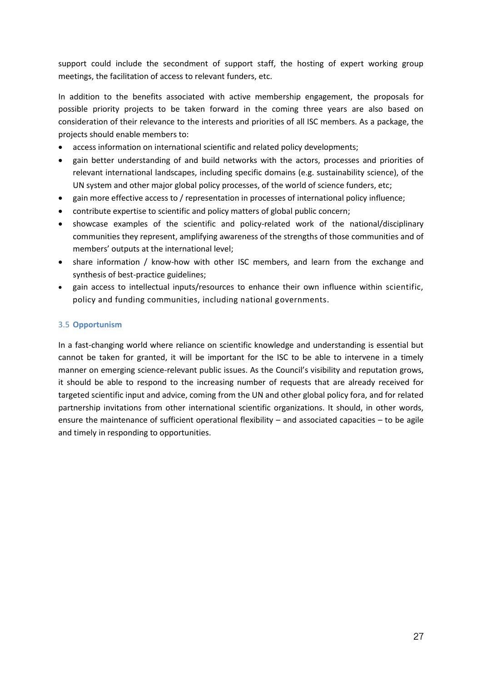support could include the secondment of support staff, the hosting of expert working group meetings, the facilitation of access to relevant funders, etc.

In addition to the benefits associated with active membership engagement, the proposals for possible priority projects to be taken forward in the coming three years are also based on consideration of their relevance to the interests and priorities of all ISC members. As a package, the projects should enable members to:

- access information on international scientific and related policy developments;
- gain better understanding of and build networks with the actors, processes and priorities of relevant international landscapes, including specific domains (e.g. sustainability science), of the UN system and other major global policy processes, of the world of science funders, etc;
- gain more effective access to / representation in processes of international policy influence;
- contribute expertise to scientific and policy matters of global public concern;
- showcase examples of the scientific and policy-related work of the national/disciplinary communities they represent, amplifying awareness of the strengths of those communities and of members' outputs at the international level;
- share information / know-how with other ISC members, and learn from the exchange and synthesis of best-practice guidelines;
- gain access to intellectual inputs/resources to enhance their own influence within scientific, policy and funding communities, including national governments.

# 3.5 **Opportunism**

In a fast-changing world where reliance on scientific knowledge and understanding is essential but cannot be taken for granted, it will be important for the ISC to be able to intervene in a timely manner on emerging science-relevant public issues. As the Council's visibility and reputation grows, it should be able to respond to the increasing number of requests that are already received for targeted scientific input and advice, coming from the UN and other global policy fora, and for related partnership invitations from other international scientific organizations. It should, in other words, ensure the maintenance of sufficient operational flexibility – and associated capacities – to be agile and timely in responding to opportunities.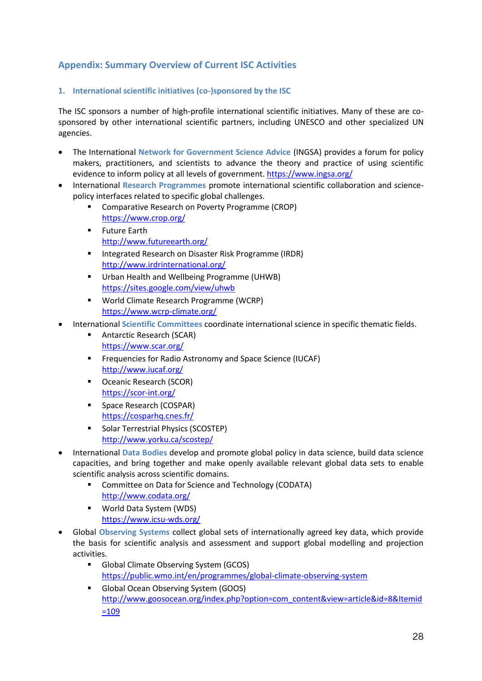# **Appendix: Summary Overview of Current ISC Activities**

# **1. International scientific initiatives (co-)sponsored by the ISC**

The ISC sponsors a number of high-profile international scientific initiatives. Many of these are cosponsored by other international scientific partners, including UNESCO and other specialized UN agencies.

- The International **Network for Government Science Advice** (INGSA) provides a forum for policy makers, practitioners, and scientists to advance the theory and practice of using scientific evidence to inform policy at all levels of government. <https://www.ingsa.org/>
- International **Research Programmes** promote international scientific collaboration and sciencepolicy interfaces related to specific global challenges.
	- Comparative Research on Poverty Programme (CROP) <https://www.crop.org/>
	- **Future Earth** <http://www.futureearth.org/>
	- Integrated Research on Disaster Risk Programme (IRDR) <http://www.irdrinternational.org/>
	- **Urban Health and Wellbeing Programme (UHWB)** <https://sites.google.com/view/uhwb>
	- World Climate Research Programme (WCRP) <https://www.wcrp-climate.org/>
- International **Scientific Committees** coordinate international science in specific thematic fields.
	- Antarctic Research (SCAR) <https://www.scar.org/>
	- Frequencies for Radio Astronomy and Space Science (IUCAF) <http://www.iucaf.org/>
	- Oceanic Research (SCOR) <https://scor-int.org/>
	- **Space Research (COSPAR)** <https://cosparhq.cnes.fr/>
	- **Solar Terrestrial Physics (SCOSTEP)** <http://www.yorku.ca/scostep/>
- International **Data Bodies** develop and promote global policy in data science, build data science capacities, and bring together and make openly available relevant global data sets to enable scientific analysis across scientific domains.
	- **E** Committee on Data for Science and Technology (CODATA) <http://www.codata.org/>
	- World Data System (WDS) <https://www.icsu-wds.org/>
- Global **Observing Systems** collect global sets of internationally agreed key data, which provide the basis for scientific analysis and assessment and support global modelling and projection activities.
	- Global Climate Observing System (GCOS) <https://public.wmo.int/en/programmes/global-climate-observing-system>
	- Global Ocean Observing System (GOOS) [http://www.goosocean.org/index.php?option=com\\_content&view=article&id=8&Itemid](http://www.goosocean.org/index.php?option=com_content&view=article&id=8&Itemid=109) [=109](http://www.goosocean.org/index.php?option=com_content&view=article&id=8&Itemid=109)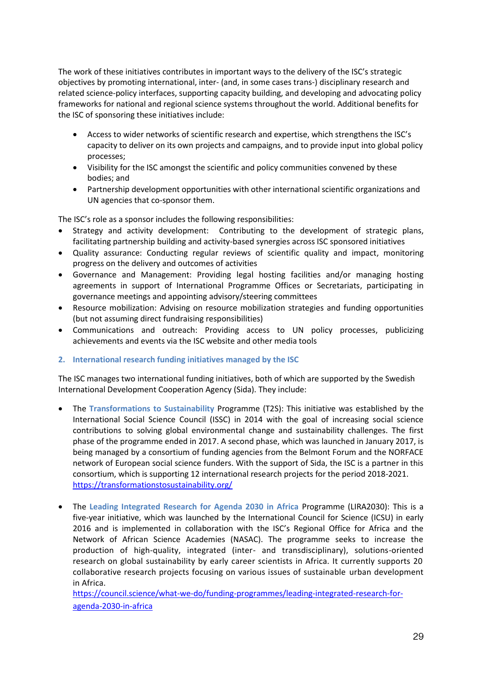The work of these initiatives contributes in important ways to the delivery of the ISC's strategic objectives by promoting international, inter- (and, in some cases trans-) disciplinary research and related science-policy interfaces, supporting capacity building, and developing and advocating policy frameworks for national and regional science systems throughout the world. Additional benefits for the ISC of sponsoring these initiatives include:

- Access to wider networks of scientific research and expertise, which strengthens the ISC's capacity to deliver on its own projects and campaigns, and to provide input into global policy processes;
- Visibility for the ISC amongst the scientific and policy communities convened by these bodies; and
- Partnership development opportunities with other international scientific organizations and UN agencies that co-sponsor them.

The ISC's role as a sponsor includes the following responsibilities:

- Strategy and activity development: Contributing to the development of strategic plans, facilitating partnership building and activity-based synergies across ISC sponsored initiatives
- Quality assurance: Conducting regular reviews of scientific quality and impact, monitoring progress on the delivery and outcomes of activities
- Governance and Management: Providing legal hosting facilities and/or managing hosting agreements in support of International Programme Offices or Secretariats, participating in governance meetings and appointing advisory/steering committees
- Resource mobilization: Advising on resource mobilization strategies and funding opportunities (but not assuming direct fundraising responsibilities)
- Communications and outreach: Providing access to UN policy processes, publicizing achievements and events via the ISC website and other media tools

#### **2. International research funding initiatives managed by the ISC**

The ISC manages two international funding initiatives, both of which are supported by the Swedish International Development Cooperation Agency (Sida). They include:

- The **Transformations to Sustainability** Programme (T2S): This initiative was established by the International Social Science Council (ISSC) in 2014 with the goal of increasing social science contributions to solving global environmental change and sustainability challenges. The first phase of the programme ended in 2017. A second phase, which was launched in January 2017, is being managed by a consortium of funding agencies from the Belmont Forum and the NORFACE network of European social science funders. With the support of Sida, the ISC is a partner in this consortium, which is supporting 12 international research projects for the period 2018-2021. <https://transformationstosustainability.org/>
- The **Leading Integrated Research for Agenda 2030 in Africa** Programme (LIRA2030): This is a five-year initiative, which was launched by the International Council for Science (ICSU) in early 2016 and is implemented in collaboration with the ISC's Regional Office for Africa and the Network of African Science Academies (NASAC). The programme seeks to increase the production of high-quality, integrated (inter- and transdisciplinary), solutions-oriented research on global sustainability by early career scientists in Africa. It currently supports 20 collaborative research projects focusing on various issues of sustainable urban development in Africa.

[https://council.science/what-we-do/funding-programmes/leading-integrated-research-for](https://council.science/what-we-do/funding-programmes/leading-integrated-research-for-agenda-2030-in-africa)[agenda-2030-in-africa](https://council.science/what-we-do/funding-programmes/leading-integrated-research-for-agenda-2030-in-africa)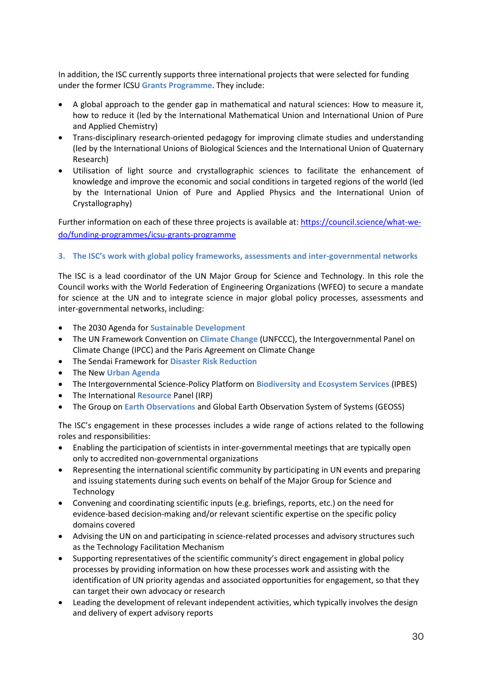In addition, the ISC currently supports three international projects that were selected for funding under the former ICSU **Grants Programme**. They include:

- A global approach to the gender gap in mathematical and natural sciences: How to measure it, how to reduce it (led by the International Mathematical Union and International Union of Pure and Applied Chemistry)
- Trans-disciplinary research-oriented pedagogy for improving climate studies and understanding (led by the International Unions of Biological Sciences and the International Union of Quaternary Research)
- Utilisation of light source and crystallographic sciences to facilitate the enhancement of knowledge and improve the economic and social conditions in targeted regions of the world (led by the International Union of Pure and Applied Physics and the International Union of Crystallography)

Further information on each of these three projects is available at[: https://council.science/what-we](https://council.science/what-we-do/funding-programmes/icsu-grants-programme)[do/funding-programmes/icsu-grants-programme](https://council.science/what-we-do/funding-programmes/icsu-grants-programme)

#### **3. The ISC's work with global policy frameworks, assessments and inter-governmental networks**

The ISC is a lead coordinator of the UN Major Group for Science and Technology. In this role the Council works with the World Federation of Engineering Organizations (WFEO) to secure a mandate for science at the UN and to integrate science in major global policy processes, assessments and inter-governmental networks, including:

- The 2030 Agenda for **Sustainable Development**
- The UN Framework Convention on **Climate Change** (UNFCCC), the Intergovernmental Panel on Climate Change (IPCC) and the Paris Agreement on Climate Change
- The Sendai Framework for **Disaster Risk Reduction**
- The New **Urban Agenda**
- The Intergovernmental Science-Policy Platform on **Biodiversity and Ecosystem Services** (IPBES)
- The International **Resource** Panel (IRP)
- The Group on **Earth Observations** and Global Earth Observation System of Systems (GEOSS)

The ISC's engagement in these processes includes a wide range of actions related to the following roles and responsibilities:

- Enabling the participation of scientists in inter-governmental meetings that are typically open only to accredited non-governmental organizations
- Representing the international scientific community by participating in UN events and preparing and issuing statements during such events on behalf of the Major Group for Science and Technology
- Convening and coordinating scientific inputs (e.g. briefings, reports, etc.) on the need for evidence-based decision-making and/or relevant scientific expertise on the specific policy domains covered
- Advising the UN on and participating in science-related processes and advisory structures such as the Technology Facilitation Mechanism
- Supporting representatives of the scientific community's direct engagement in global policy processes by providing information on how these processes work and assisting with the identification of UN priority agendas and associated opportunities for engagement, so that they can target their own advocacy or research
- Leading the development of relevant independent activities, which typically involves the design and delivery of expert advisory reports